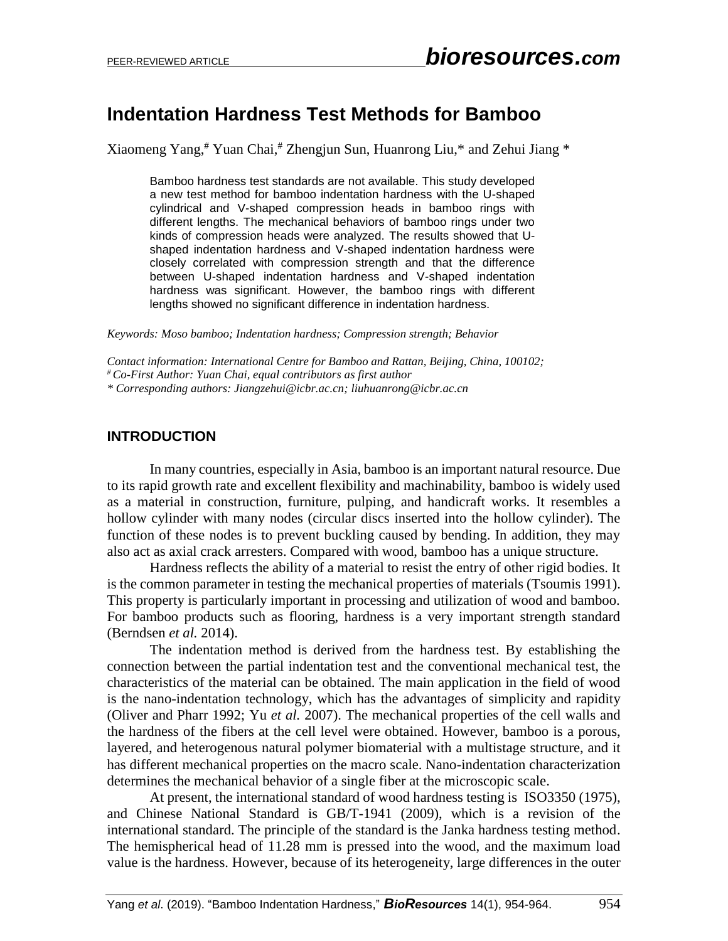# **Indentation Hardness Test Methods for Bamboo**

Xiaomeng Yang, # Yuan Chai, # Zhengjun Sun, Huanrong Liu,\* and Zehui Jiang \*

Bamboo hardness test standards are not available. This study developed a new test method for bamboo indentation hardness with the U-shaped cylindrical and V-shaped compression heads in bamboo rings with different lengths. The mechanical behaviors of bamboo rings under two kinds of compression heads were analyzed. The results showed that Ushaped indentation hardness and V-shaped indentation hardness were closely correlated with compression strength and that the difference between U-shaped indentation hardness and V-shaped indentation hardness was significant. However, the bamboo rings with different lengths showed no significant difference in indentation hardness.

*Keywords: Moso bamboo; Indentation hardness; Compression strength; Behavior*

*Contact information: International Centre for Bamboo and Rattan, Beijing, China, 100102;* 

*# Co-First Author: Yuan Chai, equal contributors as first author*

*\* Corresponding authors: Jiangzehui@icbr.ac.cn; liuhuanrong@icbr.ac.cn*

### **INTRODUCTION**

In many countries, especially in Asia, bamboo is an important natural resource. Due to its rapid growth rate and excellent flexibility and machinability, bamboo is widely used as a material in construction, furniture, pulping, and handicraft works. It resembles a hollow cylinder with many nodes (circular discs inserted into the hollow cylinder). The function of these nodes is to prevent buckling caused by bending. In addition, they may also act as axial crack arresters. Compared with wood, bamboo has a unique structure.

Hardness reflects the ability of a material to resist the entry of other rigid bodies. It is the common parameter in testing the mechanical properties of materials (Tsoumis 1991). This property is particularly important in processing and utilization of wood and bamboo. For bamboo products such as flooring, hardness is a very important strength standard (Berndsen *et al.* 2014).

The indentation method is derived from the hardness test. By establishing the connection between the partial indentation test and the conventional mechanical test, the characteristics of the material can be obtained. The main application in the field of wood is the nano-indentation technology, which has the advantages of simplicity and rapidity (Oliver and Pharr 1992; Yu *et al.* 2007). The mechanical properties of the cell walls and the hardness of the fibers at the cell level were obtained. However, bamboo is a porous, layered, and heterogenous natural polymer biomaterial with a multistage structure, and it has different mechanical properties on the macro scale. Nano-indentation characterization determines the mechanical behavior of a single fiber at the microscopic scale.

At present, the international standard of wood hardness testing is ISO3350 (1975), and Chinese National Standard is GB/T-1941 (2009), which is a revision of the international standard. The principle of the standard is the Janka hardness testing method. The hemispherical head of 11.28 mm is pressed into the wood, and the maximum load value is the hardness. However, because of its heterogeneity, large differences in the outer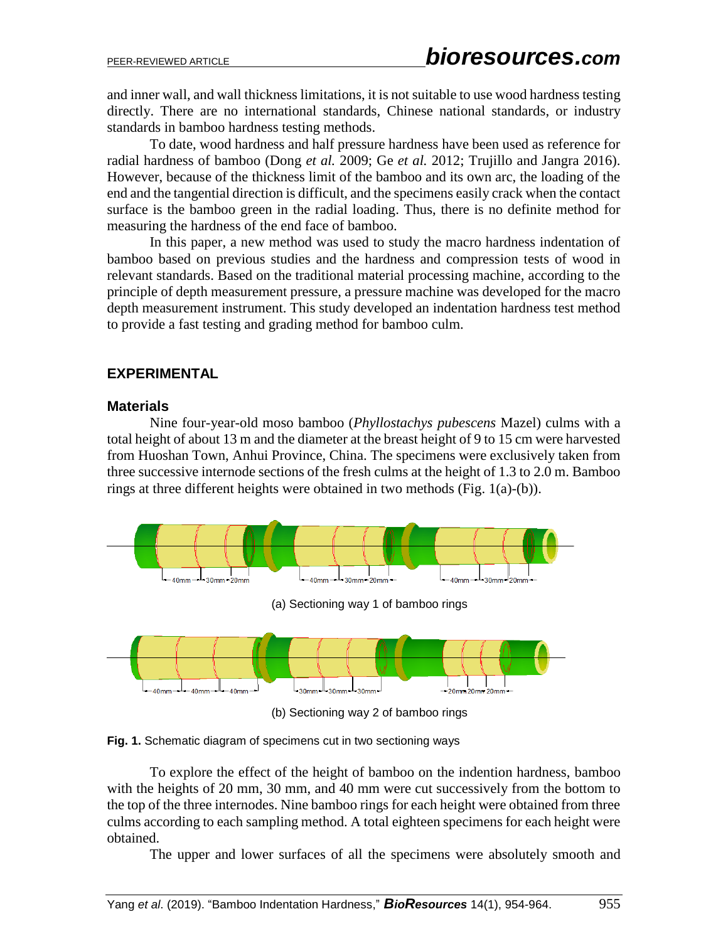and inner wall, and wall thickness limitations, it is not suitable to use wood hardness testing directly. There are no international standards, Chinese national standards, or industry standards in bamboo hardness testing methods.

To date, wood hardness and half pressure hardness have been used as reference for radial hardness of bamboo (Dong *et al.* 2009; Ge *et al.* 2012; Trujillo and Jangra 2016). However, because of the thickness limit of the bamboo and its own arc, the loading of the end and the tangential direction is difficult, and the specimens easily crack when the contact surface is the bamboo green in the radial loading. Thus, there is no definite method for measuring the hardness of the end face of bamboo.

In this paper, a new method was used to study the macro hardness indentation of bamboo based on previous studies and the hardness and compression tests of wood in relevant standards. Based on the traditional material processing machine, according to the principle of depth measurement pressure, a pressure machine was developed for the macro depth measurement instrument. This study developed an indentation hardness test method to provide a fast testing and grading method for bamboo culm.

### **EXPERIMENTAL**

#### **Materials**

Nine four-year-old moso bamboo (*Phyllostachys pubescens* Mazel) culms with a total height of about 13 m and the diameter at the breast height of 9 to 15 cm were harvested from Huoshan Town, Anhui Province, China. The specimens were exclusively taken from three successive internode sections of the fresh culms at the height of 1.3 to 2.0 m. Bamboo rings at three different heights were obtained in two methods (Fig. 1(a)-(b)).



(b) Sectioning way 2 of bamboo rings

**Fig. 1.** Schematic diagram of specimens cut in two sectioning ways

To explore the effect of the height of bamboo on the indention hardness, bamboo with the heights of 20 mm, 30 mm, and 40 mm were cut successively from the bottom to the top of the three internodes. Nine bamboo rings for each height were obtained from three culms according to each sampling method. A total eighteen specimens for each height were obtained.

The upper and lower surfaces of all the specimens were absolutely smooth and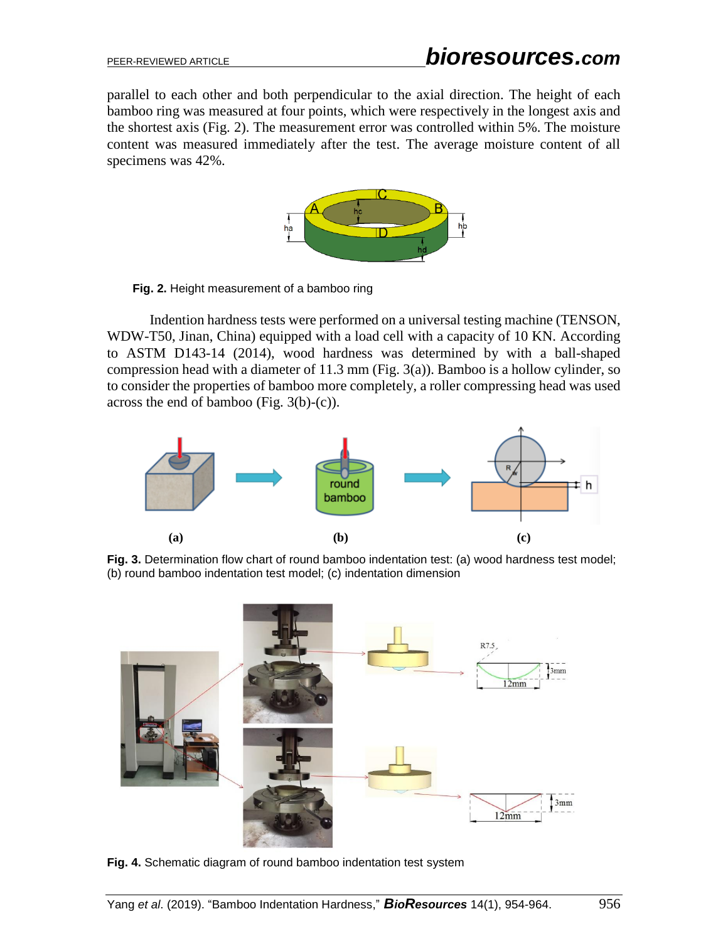parallel to each other and both perpendicular to the axial direction. The height of each bamboo ring was measured at four points, which were respectively in the longest axis and the shortest axis (Fig. 2). The measurement error was controlled within 5%. The moisture content was measured immediately after the test. The average moisture content of all specimens was 42%.



**Fig. 2.** Height measurement of a bamboo ring

Indention hardness tests were performed on a universal testing machine (TENSON, WDW-T50, Jinan, China) equipped with a load cell with a capacity of 10 KN. According to ASTM D143-14 (2014), wood hardness was determined by with a ball-shaped compression head with a diameter of 11.3 mm (Fig. 3(a)). Bamboo is a hollow cylinder, so to consider the properties of bamboo more completely, a roller compressing head was used across the end of bamboo (Fig. 3(b)-(c)).



**Fig. 3.** Determination flow chart of round bamboo indentation test: (a) wood hardness test model; (b) round bamboo indentation test model; (c) indentation dimension



**Fig. 4.** Schematic diagram of round bamboo indentation test system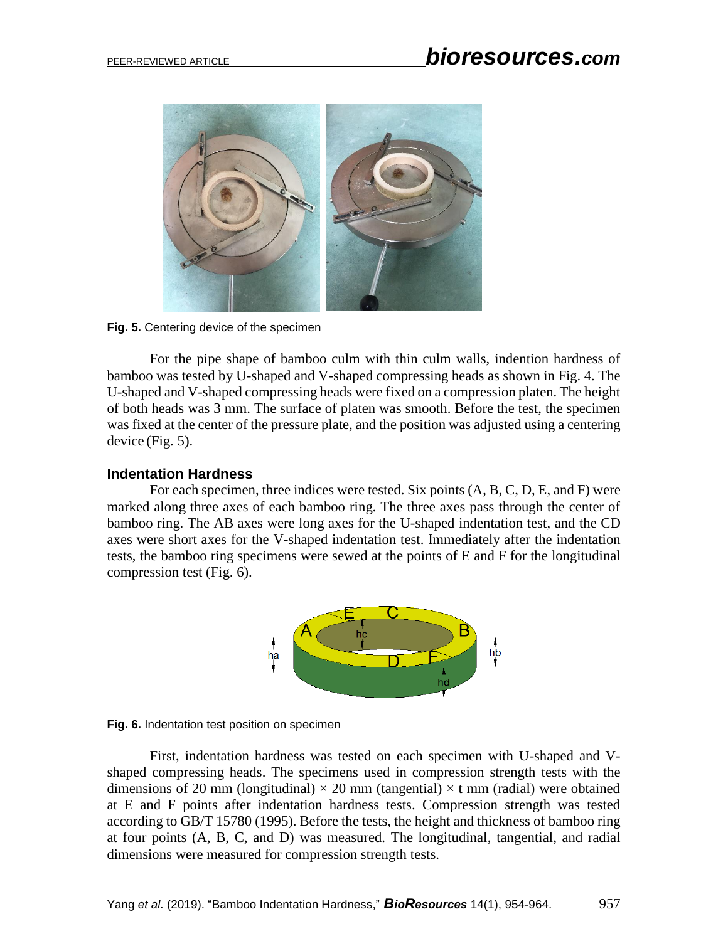

**Fig. 5.** Centering device of the specimen

For the pipe shape of bamboo culm with thin culm walls, indention hardness of bamboo was tested by U-shaped and V-shaped compressing heads as shown in Fig. 4. The U-shaped and V-shaped compressing heads were fixed on a compression platen. The height of both heads was 3 mm. The surface of platen was smooth. Before the test, the specimen was fixed at the center of the pressure plate, and the position was adjusted using a centering device (Fig. 5).

### **Indentation Hardness**

For each specimen, three indices were tested. Six points (A, B, C, D, E, and F) were marked along three axes of each bamboo ring. The three axes pass through the center of bamboo ring. The AB axes were long axes for the U-shaped indentation test, and the CD axes were short axes for the V-shaped indentation test. Immediately after the indentation tests, the bamboo ring specimens were sewed at the points of E and F for the longitudinal compression test (Fig. 6).



**Fig. 6.** Indentation test position on specimen

First, indentation hardness was tested on each specimen with U-shaped and Vshaped compressing heads. The specimens used in compression strength tests with the dimensions of 20 mm (longitudinal)  $\times$  20 mm (tangential)  $\times$  t mm (radial) were obtained at E and F points after indentation hardness tests. Compression strength was tested according to GB/T 15780 (1995). Before the tests, the height and thickness of bamboo ring at four points (A, B, C, and D) was measured. The longitudinal, tangential, and radial dimensions were measured for compression strength tests.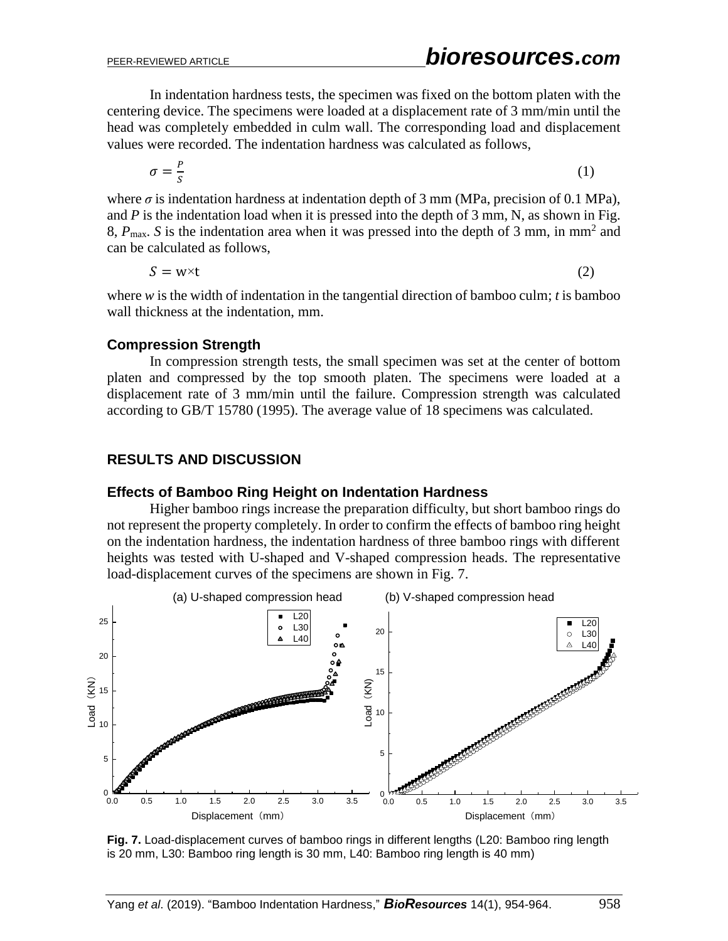In indentation hardness tests, the specimen was fixed on the bottom platen with the centering device. The specimens were loaded at a displacement rate of 3 mm/min until the head was completely embedded in culm wall. The corresponding load and displacement values were recorded. The indentation hardness was calculated as follows,

$$
\sigma = \frac{P}{S} \tag{1}
$$

where  $\sigma$  is indentation hardness at indentation depth of 3 mm (MPa, precision of 0.1 MPa), and  $P$  is the indentation load when it is pressed into the depth of  $3$  mm, N, as shown in Fig. 8,  $P_{\text{max}}$ . *S* is the indentation area when it was pressed into the depth of 3 mm, in mm<sup>2</sup> and can be calculated as follows,

$$
S = w \times t \tag{2}
$$

where *w* is the width of indentation in the tangential direction of bamboo culm; *t* is bamboo wall thickness at the indentation, mm.

#### **Compression Strength**

In compression strength tests, the small specimen was set at the center of bottom platen and compressed by the top smooth platen. The specimens were loaded at a displacement rate of 3 mm/min until the failure. Compression strength was calculated according to GB/T 15780 (1995). The average value of 18 specimens was calculated.

### **RESULTS AND DISCUSSION**

#### **Effects of Bamboo Ring Height on Indentation Hardness**

Higher bamboo rings increase the preparation difficulty, but short bamboo rings do not represent the property completely. In order to confirm the effects of bamboo ring height on the indentation hardness, the indentation hardness of three bamboo rings with different heights was tested with U-shaped and V-shaped compression heads. The representative load-displacement curves of the specimens are shown in Fig. 7.



**Fig. 7.** Load-displacement curves of bamboo rings in different lengths (L20: Bamboo ring length is 20 mm, L30: Bamboo ring length is 30 mm, L40: Bamboo ring length is 40 mm)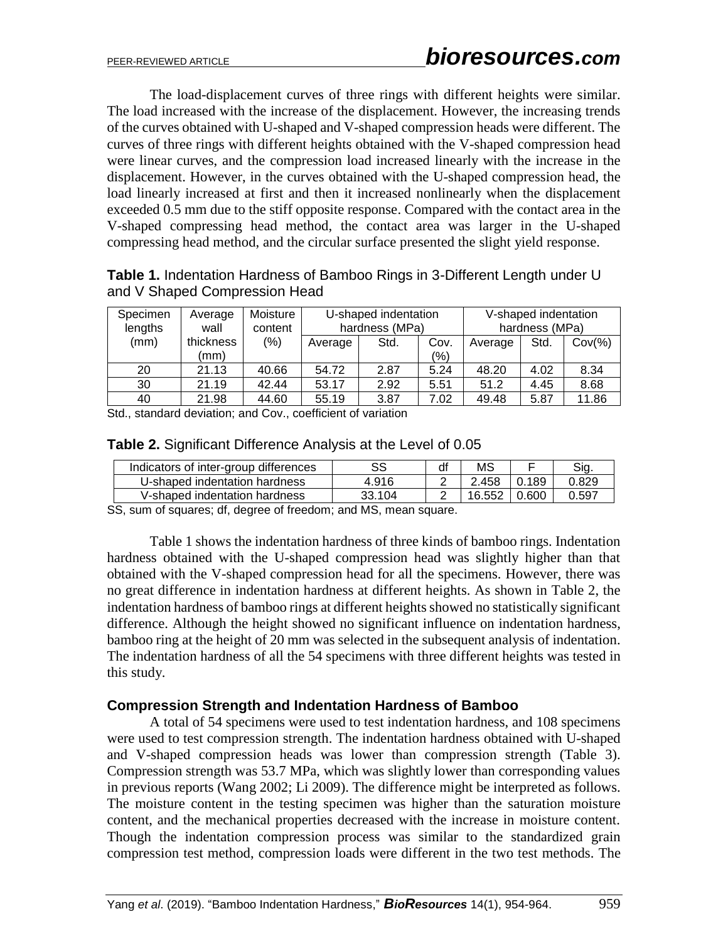The load-displacement curves of three rings with different heights were similar. The load increased with the increase of the displacement. However, the increasing trends of the curves obtained with U-shaped and V-shaped compression heads were different. The curves of three rings with different heights obtained with the V-shaped compression head were linear curves, and the compression load increased linearly with the increase in the displacement. However, in the curves obtained with the U-shaped compression head, the load linearly increased at first and then it increased nonlinearly when the displacement exceeded 0.5 mm due to the stiff opposite response. Compared with the contact area in the V-shaped compressing head method, the contact area was larger in the U-shaped compressing head method, and the circular surface presented the slight yield response.

| <b>Table 1.</b> Indentation Hardness of Bamboo Rings in 3-Different Length under U |  |
|------------------------------------------------------------------------------------|--|
| and V Shaped Compression Head                                                      |  |

| Specimen   | Average   | Moisture | U-shaped indentation |      |      | V-shaped indentation |      |           |
|------------|-----------|----------|----------------------|------|------|----------------------|------|-----------|
| lengths    | wall      | content  | hardness (MPa)       |      |      | hardness (MPa)       |      |           |
| (mm)       | thickness | (%)      | Average              | Std. | Cov. | Average              | Std. | $Cov(\%)$ |
|            | (mm)      |          |                      |      | (%)  |                      |      |           |
| 20         | 21.13     | 40.66    | 54.72                | 2.87 | 5.24 | 48.20                | 4.02 | 8.34      |
| 30         | 21.19     | 42.44    | 53.17                | 2.92 | 5.51 | 51.2                 | 4.45 | 8.68      |
| 40         | 21.98     | 44.60    | 55.19                | 3.87 | 7.02 | 49.48                | 5.87 | 11.86     |
| . <u>.</u> |           |          |                      |      |      |                      |      |           |

Std., standard deviation; and Cov., coefficient of variation

|  |  | Table 2. Significant Difference Analysis at the Level of 0.05 |  |  |  |  |
|--|--|---------------------------------------------------------------|--|--|--|--|
|--|--|---------------------------------------------------------------|--|--|--|--|

| Indicators of inter-group differences                       | SS     | df | MS     |       | Sia   |  |  |
|-------------------------------------------------------------|--------|----|--------|-------|-------|--|--|
| U-shaped indentation hardness                               | 4.916  |    | 2.458  | 0.189 | 0.829 |  |  |
| V-shaped indentation hardness                               | 33.104 |    | 16.552 | 0.600 | 0.597 |  |  |
| CC sum of coverage of degree of freedoms and MC mean equate |        |    |        |       |       |  |  |

SS, sum of squares; df, degree of freedom; and MS, mean square.

Table 1 shows the indentation hardness of three kinds of bamboo rings. Indentation hardness obtained with the U-shaped compression head was slightly higher than that obtained with the V-shaped compression head for all the specimens. However, there was no great difference in indentation hardness at different heights. As shown in Table 2, the indentation hardness of bamboo rings at different heights showed no statistically significant difference. Although the height showed no significant influence on indentation hardness, bamboo ring at the height of 20 mm was selected in the subsequent analysis of indentation. The indentation hardness of all the 54 specimens with three different heights was tested in this study.

#### **Compression Strength and Indentation Hardness of Bamboo**

A total of 54 specimens were used to test indentation hardness, and 108 specimens were used to test compression strength. The indentation hardness obtained with U-shaped and V-shaped compression heads was lower than compression strength (Table 3). Compression strength was 53.7 MPa, which was slightly lower than corresponding values in previous reports (Wang 2002; Li 2009). The difference might be interpreted as follows. The moisture content in the testing specimen was higher than the saturation moisture content, and the mechanical properties decreased with the increase in moisture content. Though the indentation compression process was similar to the standardized grain compression test method, compression loads were different in the two test methods. The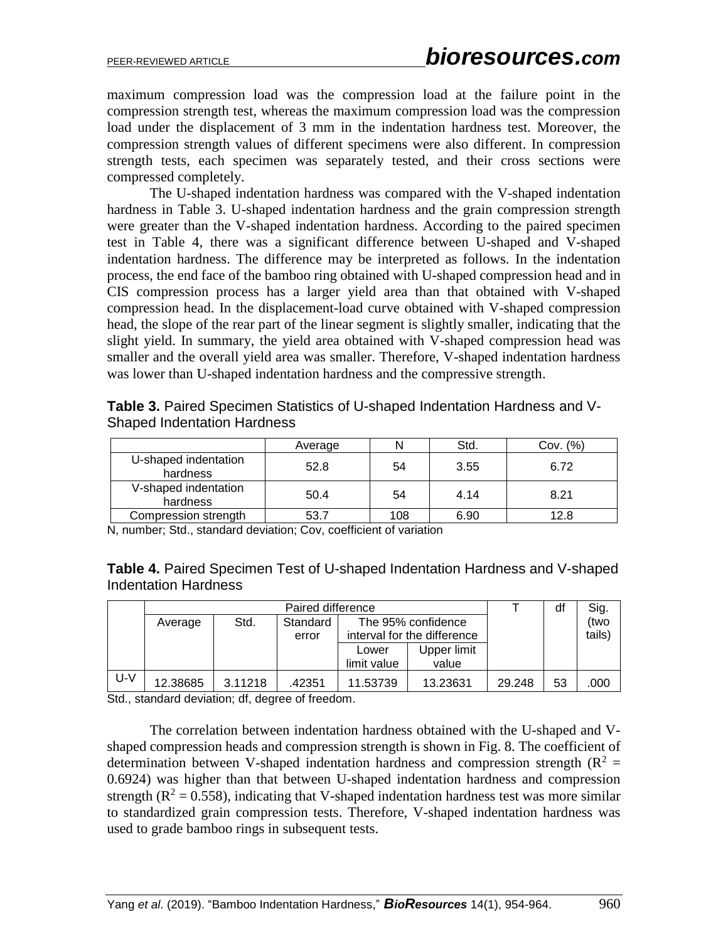maximum compression load was the compression load at the failure point in the compression strength test, whereas the maximum compression load was the compression load under the displacement of 3 mm in the indentation hardness test. Moreover, the compression strength values of different specimens were also different. In compression strength tests, each specimen was separately tested, and their cross sections were compressed completely.

The U-shaped indentation hardness was compared with the V-shaped indentation hardness in Table 3. U-shaped indentation hardness and the grain compression strength were greater than the V-shaped indentation hardness. According to the paired specimen test in Table 4, there was a significant difference between U-shaped and V-shaped indentation hardness. The difference may be interpreted as follows. In the indentation process, the end face of the bamboo ring obtained with U-shaped compression head and in CIS compression process has a larger yield area than that obtained with V-shaped compression head. In the displacement-load curve obtained with V-shaped compression head, the slope of the rear part of the linear segment is slightly smaller, indicating that the slight yield. In summary, the yield area obtained with V-shaped compression head was smaller and the overall yield area was smaller. Therefore, V-shaped indentation hardness was lower than U-shaped indentation hardness and the compressive strength.

|                                  | Average | N   | Std. | Cov. (%) |
|----------------------------------|---------|-----|------|----------|
| U-shaped indentation<br>hardness | 52.8    | 54  | 3.55 | 6.72     |
| V-shaped indentation<br>hardness | 50.4    | 54  | 4.14 | 8.21     |
| Compression strength             | 53.7    | 108 | 6.90 | 12.8     |

**Table 3.** Paired Specimen Statistics of U-shaped Indentation Hardness and V-Shaped Indentation Hardness

N, number; Std., standard deviation; Cov, coefficient of variation

**Table 4.** Paired Specimen Test of U-shaped Indentation Hardness and V-shaped Indentation Hardness

|       | Paired difference |         |          |                    |                             |        | df   | Sig.   |
|-------|-------------------|---------|----------|--------------------|-----------------------------|--------|------|--------|
|       | Average           | Std.    | Standard | The 95% confidence |                             |        | (two |        |
|       |                   |         | error    |                    | interval for the difference |        |      | tails) |
|       |                   |         |          | Lower              | Upper limit                 |        |      |        |
|       |                   |         |          | limit value        | value                       |        |      |        |
| $U-V$ | 12.38685          | 3.11218 | .42351   | 11.53739           | 13.23631                    | 29.248 | 53   | .000   |

Std., standard deviation; df, degree of freedom.

The correlation between indentation hardness obtained with the U-shaped and Vshaped compression heads and compression strength is shown in Fig. 8. The coefficient of determination between V-shaped indentation hardness and compression strength ( $R^2$  = 0.6924) was higher than that between U-shaped indentation hardness and compression strength ( $\mathbb{R}^2 = 0.558$ ), indicating that V-shaped indentation hardness test was more similar to standardized grain compression tests. Therefore, V-shaped indentation hardness was used to grade bamboo rings in subsequent tests.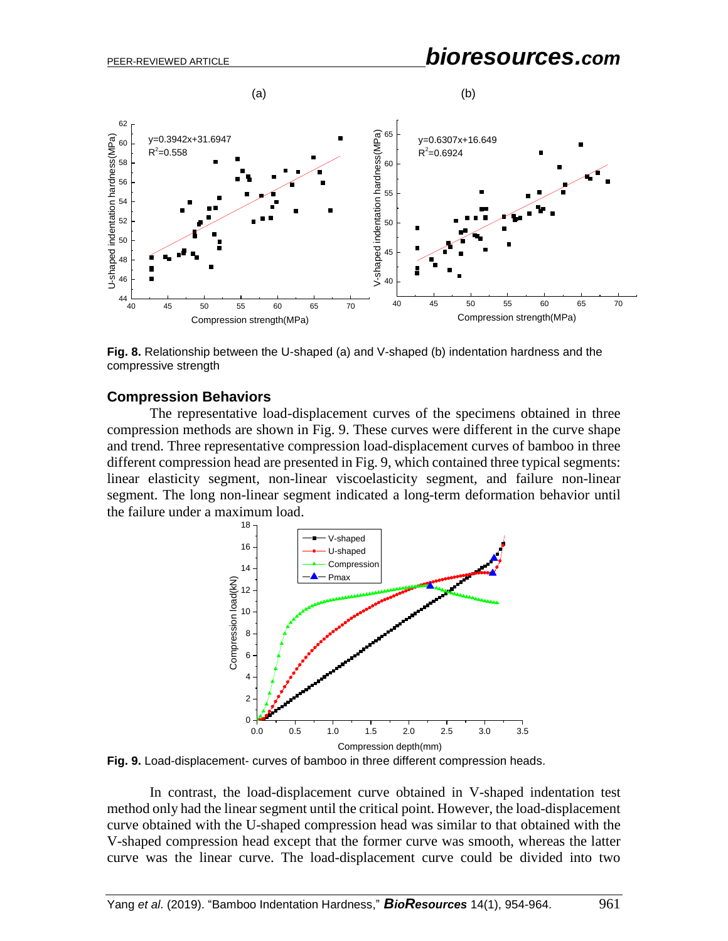

**Fig. 8.** Relationship between the U-shaped (a) and V-shaped (b) indentation hardness and the compressive strength

#### **Compression Behaviors**

The representative load-displacement curves of the specimens obtained in three compression methods are shown in Fig. 9. These curves were different in the curve shape and trend. Three representative compression load-displacement curves of bamboo in three different compression head are presented in Fig. 9, which contained three typical segments: linear elasticity segment, non-linear viscoelasticity segment, and failure non-linear segment. The long non-linear segment indicated a long-term deformation behavior until the failure under a maximum load.



**Fig. 9.** Load-displacement- curves of bamboo in three different compression heads.

In contrast, the load-displacement curve obtained in V-shaped indentation test method only had the linear segment until the critical point. However, the load-displacement curve obtained with the U-shaped compression head was similar to that obtained with the V-shaped compression head except that the former curve was smooth, whereas the latter curve was the linear curve. The load-displacement curve could be divided into two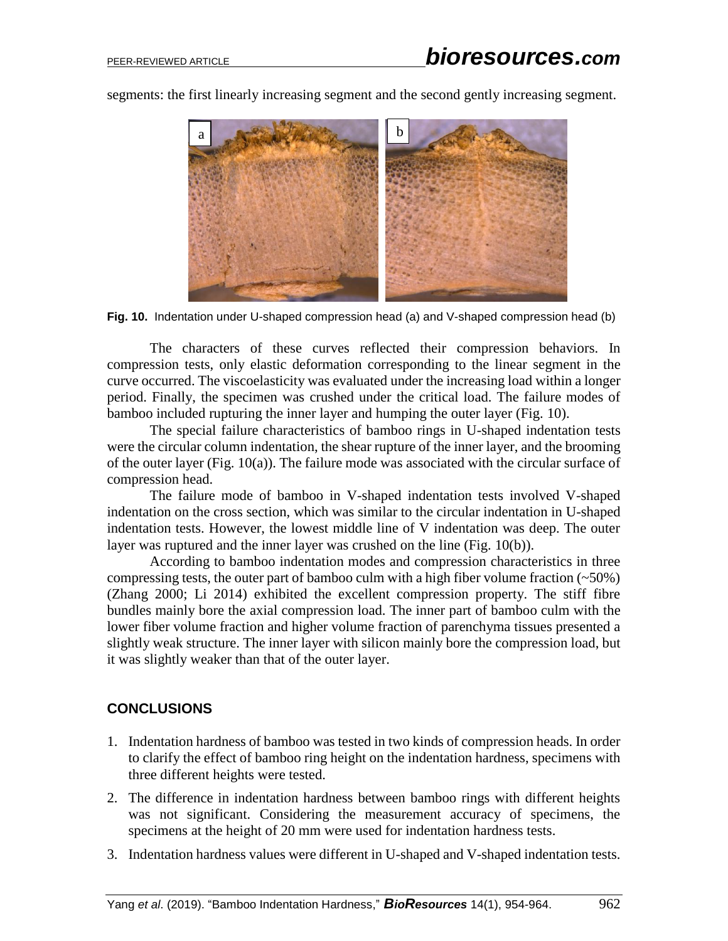

segments: the first linearly increasing segment and the second gently increasing segment.

**Fig. 10.** Indentation under U-shaped compression head (a) and V-shaped compression head (b)

The characters of these curves reflected their compression behaviors. In compression tests, only elastic deformation corresponding to the linear segment in the curve occurred. The viscoelasticity was evaluated under the increasing load within a longer period. Finally, the specimen was crushed under the critical load. The failure modes of bamboo included rupturing the inner layer and humping the outer layer (Fig. 10).

The special failure characteristics of bamboo rings in U-shaped indentation tests were the circular column indentation, the shear rupture of the inner layer, and the brooming of the outer layer (Fig. 10(a)). The failure mode was associated with the circular surface of compression head.

The failure mode of bamboo in V-shaped indentation tests involved V-shaped indentation on the cross section, which was similar to the circular indentation in U-shaped indentation tests. However, the lowest middle line of V indentation was deep. The outer layer was ruptured and the inner layer was crushed on the line (Fig. 10(b)).

According to bamboo indentation modes and compression characteristics in three compressing tests, the outer part of bamboo culm with a high fiber volume fraction  $(\sim 50\%)$ (Zhang 2000; Li 2014) exhibited the excellent compression property. The stiff fibre bundles mainly bore the axial compression load. The inner part of bamboo culm with the lower fiber volume fraction and higher volume fraction of parenchyma tissues presented a slightly weak structure. The inner layer with silicon mainly bore the compression load, but it was slightly weaker than that of the outer layer.

### **CONCLUSIONS**

- 1. Indentation hardness of bamboo was tested in two kinds of compression heads. In order to clarify the effect of bamboo ring height on the indentation hardness, specimens with three different heights were tested.
- 2. The difference in indentation hardness between bamboo rings with different heights was not significant. Considering the measurement accuracy of specimens, the specimens at the height of 20 mm were used for indentation hardness tests.
- 3. Indentation hardness values were different in U-shaped and V-shaped indentation tests.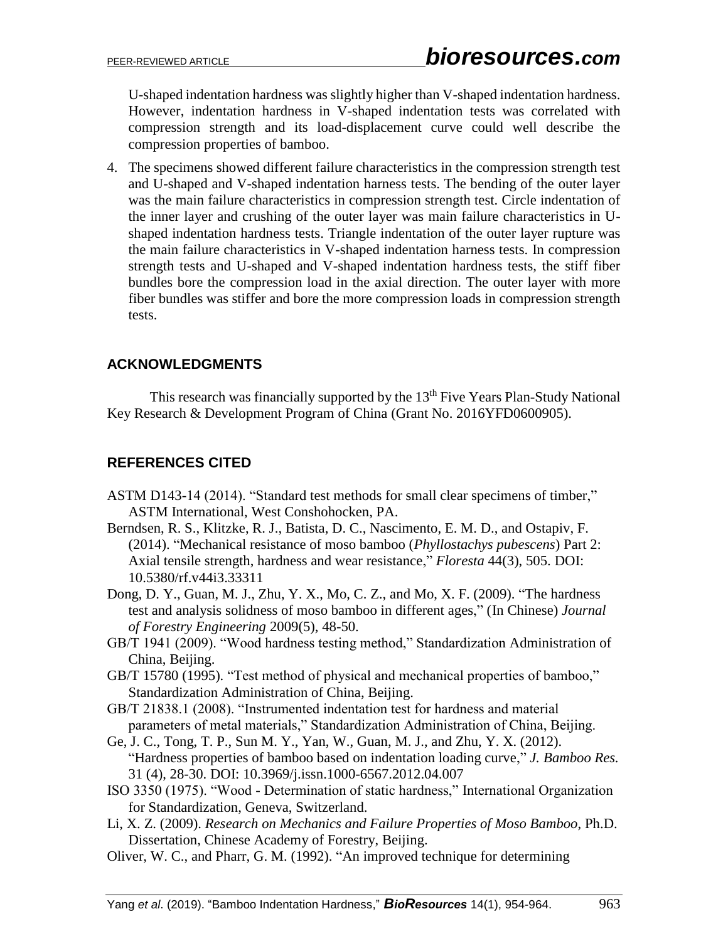U-shaped indentation hardness was slightly higher than V-shaped indentation hardness. However, indentation hardness in V-shaped indentation tests was correlated with compression strength and its load-displacement curve could well describe the compression properties of bamboo.

4. The specimens showed different failure characteristics in the compression strength test and U-shaped and V-shaped indentation harness tests. The bending of the outer layer was the main failure characteristics in compression strength test. Circle indentation of the inner layer and crushing of the outer layer was main failure characteristics in Ushaped indentation hardness tests. Triangle indentation of the outer layer rupture was the main failure characteristics in V-shaped indentation harness tests. In compression strength tests and U-shaped and V-shaped indentation hardness tests, the stiff fiber bundles bore the compression load in the axial direction. The outer layer with more fiber bundles was stiffer and bore the more compression loads in compression strength tests.

## **ACKNOWLEDGMENTS**

This research was financially supported by the  $13<sup>th</sup>$  Five Years Plan-Study National Key Research & Development Program of China (Grant No. 2016YFD0600905).

# **REFERENCES CITED**

- ASTM D143-14 (2014). "Standard test methods for small clear specimens of timber," ASTM International, West Conshohocken, PA.
- Berndsen, R. S., Klitzke, R. J., Batista, D. C., Nascimento, E. M. D., and Ostapiv, F. (2014). "Mechanical resistance of moso bamboo (*Phyllostachys pubescens*) Part 2: Axial tensile strength, hardness and wear resistance," *Floresta* 44(3), 505. DOI: 10.5380/rf.v44i3.33311
- Dong, D. Y., Guan, M. J., Zhu, Y. X., Mo, C. Z., and Mo, X. F. (2009). "The hardness test and analysis solidness of moso bamboo in different ages," (In Chinese) *Journal of Forestry Engineering* 2009(5), 48-50.
- GB/T 1941 (2009). "Wood hardness testing method," Standardization Administration of China, Beijing.
- GB/T 15780 (1995). "Test method of physical and mechanical properties of bamboo," Standardization Administration of China, Beijing.
- GB/T 21838.1 (2008). "Instrumented indentation test for hardness and material parameters of metal materials," Standardization Administration of China, Beijing.
- Ge, J. C., Tong, T. P., Sun M. Y., Yan, W., Guan, M. J., and Zhu, Y. X. (2012). "Hardness properties of bamboo based on indentation loading curve," *J. Bamboo Res.* 31 (4), 28-30. DOI: [10.3969/j.issn.1000-6567.2012.04.007](javascript:void(0);)
- ISO 3350 (1975). "Wood Determination of static hardness," International Organization for Standardization, Geneva, Switzerland.
- Li, X. Z. (2009). *Research on Mechanics and Failure Properties of Moso Bamboo*, Ph.D. Dissertation, Chinese Academy of Forestry, Beijing.
- Oliver, W. C., and Pharr, G. M. (1992). "An improved technique for determining